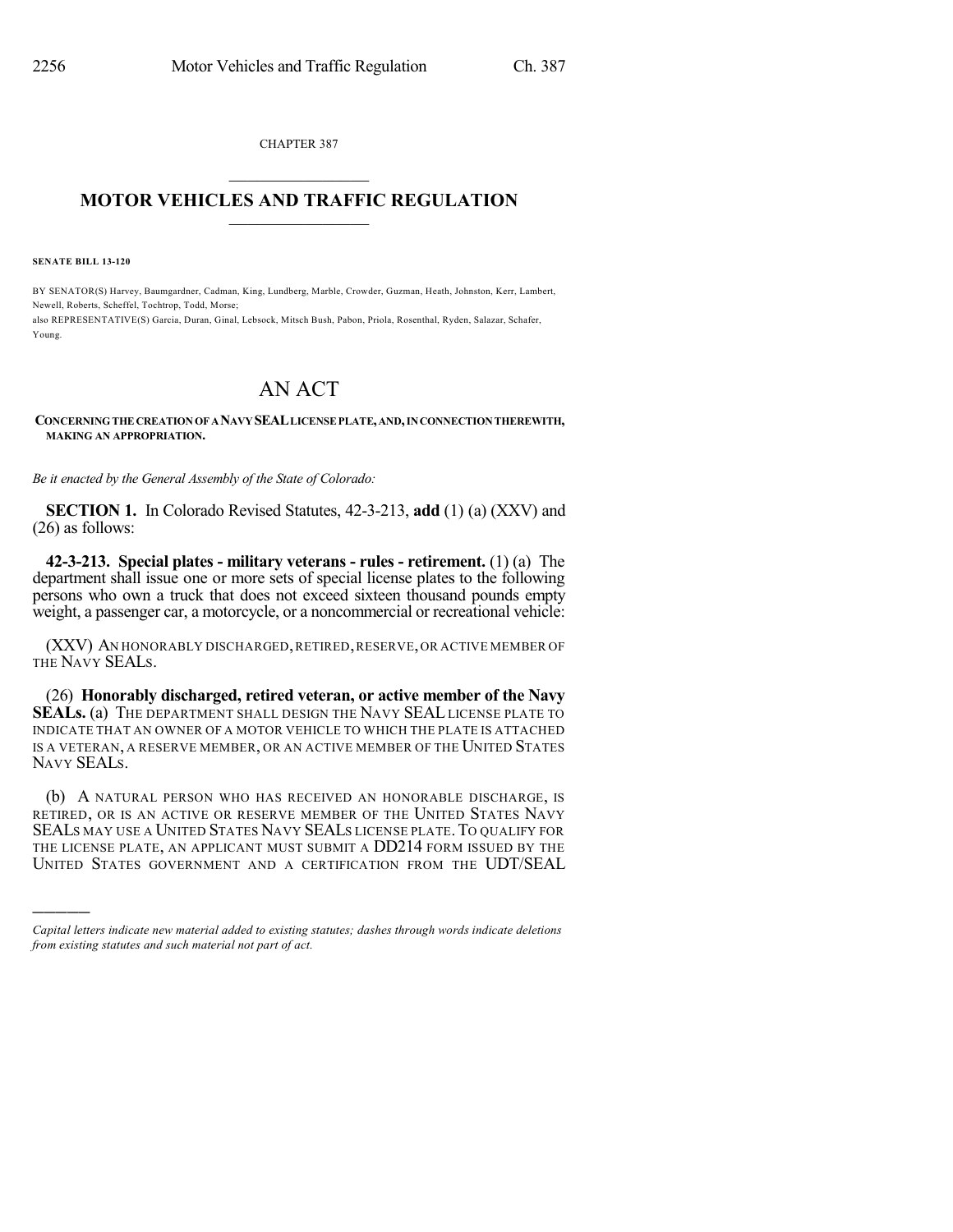CHAPTER 387  $\overline{\phantom{a}}$  . The set of the set of the set of the set of the set of the set of the set of the set of the set of the set of the set of the set of the set of the set of the set of the set of the set of the set of the set o

## **MOTOR VEHICLES AND TRAFFIC REGULATION**  $\frac{1}{2}$  ,  $\frac{1}{2}$  ,  $\frac{1}{2}$  ,  $\frac{1}{2}$  ,  $\frac{1}{2}$  ,  $\frac{1}{2}$  ,  $\frac{1}{2}$

**SENATE BILL 13-120**

)))))

BY SENATOR(S) Harvey, Baumgardner, Cadman, King, Lundberg, Marble, Crowder, Guzman, Heath, Johnston, Kerr, Lambert, Newell, Roberts, Scheffel, Tochtrop, Todd, Morse; also REPRESENTATIVE(S) Garcia, Duran, Ginal, Lebsock, Mitsch Bush, Pabon, Priola, Rosenthal, Ryden, Salazar, Schafer, Young.

## AN ACT

## **CONCERNINGTHE CREATIONOF ANAVYSEALLICENSEPLATE,AND,INCONNECTIONTHEREWITH, MAKING AN APPROPRIATION.**

*Be it enacted by the General Assembly of the State of Colorado:*

**SECTION 1.** In Colorado Revised Statutes, 42-3-213, **add** (1) (a) (XXV) and (26) as follows:

**42-3-213. Special plates - military veterans - rules - retirement.** (1) (a) The department shall issue one or more sets of special license plates to the following persons who own a truck that does not exceed sixteen thousand pounds empty weight, a passenger car, a motorcycle, or a noncommercial or recreational vehicle:

(XXV) AN HONORABLY DISCHARGED,RETIRED,RESERVE,OR ACTIVE MEMBER OF THE NAVY SEALS.

(26) **Honorably discharged, retired veteran, or active member of the Navy SEALs.** (a) THE DEPARTMENT SHALL DESIGN THE NAVY SEAL LICENSE PLATE TO INDICATE THAT AN OWNER OF A MOTOR VEHICLE TO WHICH THE PLATE IS ATTACHED IS A VETERAN, A RESERVE MEMBER, OR AN ACTIVE MEMBER OF THE UNITED STATES NAVY SEALS.

(b) A NATURAL PERSON WHO HAS RECEIVED AN HONORABLE DISCHARGE, IS RETIRED, OR IS AN ACTIVE OR RESERVE MEMBER OF THE UNITED STATES NAVY SEALS MAY USE A UNITED STATES NAVY SEALS LICENSE PLATE. TO QUALIFY FOR THE LICENSE PLATE, AN APPLICANT MUST SUBMIT A DD214 FORM ISSUED BY THE UNITED STATES GOVERNMENT AND A CERTIFICATION FROM THE UDT/SEAL

*Capital letters indicate new material added to existing statutes; dashes through words indicate deletions from existing statutes and such material not part of act.*